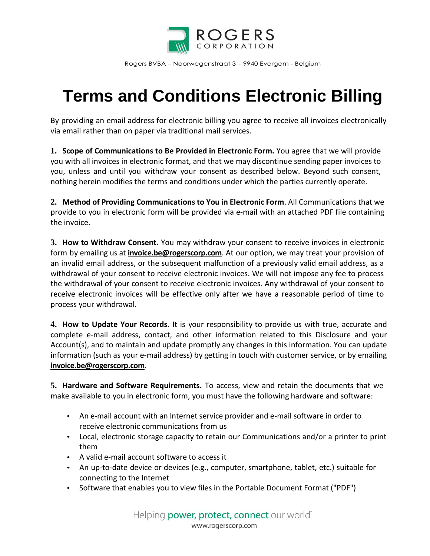

Rogers BVBA – Noorwegenstraat 3 – 9940 Evergem - Belgium

## **Terms and Conditions Electronic Billing**

By providing an email address for electronic billing you agree to receive all invoices electronically via email rather than on paper via traditional mail services.

**1. Scope of Communications to Be Provided in Electronic Form.** You agree that we will provide you with all invoices in electronic format, and that we may discontinue sending paper invoices to you, unless and until you withdraw your consent as described below. Beyond such consent, nothing herein modifies the terms and conditions under which the parties currently operate.

**2. Method of Providing Communications to You in Electronic Form**. All Communications that we provide to you in electronic form will be provided via e-mail with an attached PDF file containing the invoice.

**3. How to Withdraw Consent.** You may withdraw your consent to receive invoices in electronic form by emailing us at **invoice.be@rogerscorp.com**. At our option, we may treat your provision of an invalid email address, or the subsequent malfunction of a previously valid email address, as a withdrawal of your consent to receive electronic invoices. We will not impose any fee to process the withdrawal of your consent to receive electronic invoices. Any withdrawal of your consent to receive electronic invoices will be effective only after we have a reasonable period of time to process your withdrawal.

**4. How to Update Your Records**. It is your responsibility to provide us with true, accurate and complete e-mail address, contact, and other information related to this Disclosure and your Account(s), and to maintain and update promptly any changes in this information. You can update information (such as your e-mail address) by getting in touch with customer service, or by emailing **invoice.be@rogerscorp.com**.

**5. Hardware and Software Requirements.** To access, view and retain the documents that we make available to you in electronic form, you must have the following hardware and software:

- An e-mail account with an Internet service provider and e-mail software in order to receive electronic communications from us
- Local, electronic storage capacity to retain our Communications and/or a printer to print them
- A valid e-mail account software to access it
- An up-to-date device or devices (e.g., computer, smartphone, tablet, etc.) suitable for connecting to the Internet
- Software that enables you to view files in the Portable Document Format ("PDF")

Helping **power, protect, connect** our world<sup>®</sup> www.rogerscorp.com